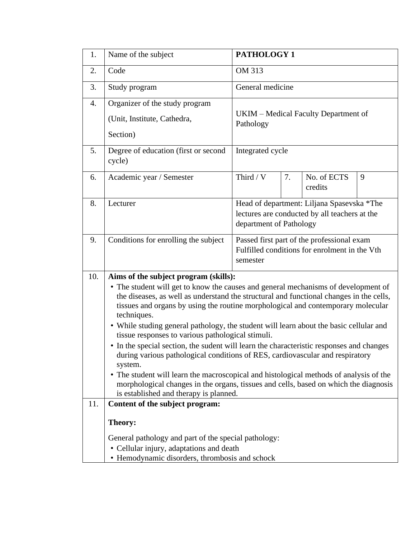| 1.         | Name of the subject                                                                                                                                                                                                                                                                                                                                                                                                                                                                                                                                                                                                                                                                                                                                                                                                                                                                          | PATHOLOGY 1                                                                                                            |    |                        |   |  |  |
|------------|----------------------------------------------------------------------------------------------------------------------------------------------------------------------------------------------------------------------------------------------------------------------------------------------------------------------------------------------------------------------------------------------------------------------------------------------------------------------------------------------------------------------------------------------------------------------------------------------------------------------------------------------------------------------------------------------------------------------------------------------------------------------------------------------------------------------------------------------------------------------------------------------|------------------------------------------------------------------------------------------------------------------------|----|------------------------|---|--|--|
| 2.         | Code                                                                                                                                                                                                                                                                                                                                                                                                                                                                                                                                                                                                                                                                                                                                                                                                                                                                                         | OM 313                                                                                                                 |    |                        |   |  |  |
| 3.         | Study program                                                                                                                                                                                                                                                                                                                                                                                                                                                                                                                                                                                                                                                                                                                                                                                                                                                                                | General medicine                                                                                                       |    |                        |   |  |  |
| 4.         | Organizer of the study program<br>(Unit, Institute, Cathedra,<br>Section)                                                                                                                                                                                                                                                                                                                                                                                                                                                                                                                                                                                                                                                                                                                                                                                                                    | UKIM – Medical Faculty Department of<br>Pathology                                                                      |    |                        |   |  |  |
| 5.         | Degree of education (first or second<br>cycle)                                                                                                                                                                                                                                                                                                                                                                                                                                                                                                                                                                                                                                                                                                                                                                                                                                               | Integrated cycle                                                                                                       |    |                        |   |  |  |
| 6.         | Academic year / Semester                                                                                                                                                                                                                                                                                                                                                                                                                                                                                                                                                                                                                                                                                                                                                                                                                                                                     | Third / V                                                                                                              | 7. | No. of ECTS<br>credits | 9 |  |  |
| 8.         | Lecturer                                                                                                                                                                                                                                                                                                                                                                                                                                                                                                                                                                                                                                                                                                                                                                                                                                                                                     | Head of department: Liljana Spasevska *The<br>lectures are conducted by all teachers at the<br>department of Pathology |    |                        |   |  |  |
| 9.         | Conditions for enrolling the subject                                                                                                                                                                                                                                                                                                                                                                                                                                                                                                                                                                                                                                                                                                                                                                                                                                                         | Passed first part of the professional exam<br>Fulfilled conditions for enrolment in the Vth<br>semester                |    |                        |   |  |  |
| 10.<br>11. | Aims of the subject program (skills):<br>• The student will get to know the causes and general mechanisms of development of<br>the diseases, as well as understand the structural and functional changes in the cells,<br>tissues and organs by using the routine morphological and contemporary molecular<br>techniques.<br>• While studing general pathology, the student will learn about the basic cellular and<br>tissue responses to various pathological stimuli.<br>• In the special section, the sudent will learn the characteristic responses and changes<br>during various pathological conditions of RES, cardiovascular and respiratory<br>system.<br>• The student will learn the macroscopical and histological methods of analysis of the<br>morphological changes in the organs, tissues and cells, based on which the diagnosis<br>is established and therapy is planned. |                                                                                                                        |    |                        |   |  |  |
|            | Content of the subject program:<br>Theory:                                                                                                                                                                                                                                                                                                                                                                                                                                                                                                                                                                                                                                                                                                                                                                                                                                                   |                                                                                                                        |    |                        |   |  |  |
|            | General pathology and part of the special pathology:<br>• Cellular injury, adaptations and death<br>• Hemodynamic disorders, thrombosis and schock                                                                                                                                                                                                                                                                                                                                                                                                                                                                                                                                                                                                                                                                                                                                           |                                                                                                                        |    |                        |   |  |  |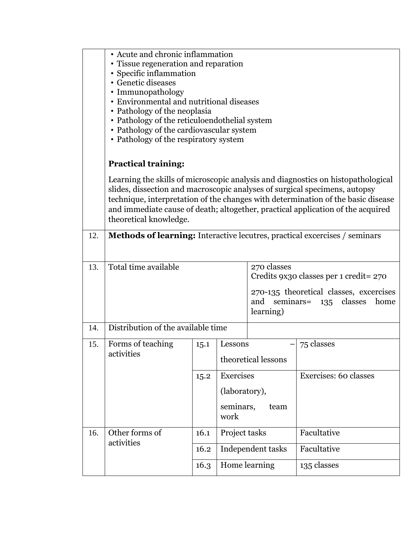|     | • Acute and chronic inflammation<br>• Tissue regeneration and reparation<br>• Specific inflammation<br>• Genetic diseases<br>• Immunopathology<br>• Environmental and nutritional diseases<br>• Pathology of the neoplasia<br>• Pathology of the reticuloendothelial system<br>• Pathology of the cardiovascular system<br>• Pathology of the respiratory system |      |                   |                                                       |                                                                   |  |  |
|-----|------------------------------------------------------------------------------------------------------------------------------------------------------------------------------------------------------------------------------------------------------------------------------------------------------------------------------------------------------------------|------|-------------------|-------------------------------------------------------|-------------------------------------------------------------------|--|--|
|     | <b>Practical training:</b>                                                                                                                                                                                                                                                                                                                                       |      |                   |                                                       |                                                                   |  |  |
|     | Learning the skills of microscopic analysis and diagnostics on histopathological<br>slides, dissection and macroscopic analyses of surgical specimens, autopsy<br>technique, interpretation of the changes with determination of the basic disease<br>and immediate cause of death; altogether, practical application of the acquired<br>theoretical knowledge.  |      |                   |                                                       |                                                                   |  |  |
| 12. | Methods of learning: Interactive lecutres, practical excercises / seminars                                                                                                                                                                                                                                                                                       |      |                   |                                                       |                                                                   |  |  |
| 13. | Total time available                                                                                                                                                                                                                                                                                                                                             |      |                   | 270 classes<br>Credits 9x30 classes per 1 credit= 270 |                                                                   |  |  |
|     |                                                                                                                                                                                                                                                                                                                                                                  |      |                   | and<br>seminars=<br>learning)                         | 270-135 theoretical classes, excercises<br>classes<br>home<br>135 |  |  |
| 14. | Distribution of the available time                                                                                                                                                                                                                                                                                                                               |      |                   |                                                       |                                                                   |  |  |
| 15. | Forms of teaching                                                                                                                                                                                                                                                                                                                                                | 15.1 | Lessons           |                                                       | 75 classes                                                        |  |  |
|     | activities                                                                                                                                                                                                                                                                                                                                                       |      |                   | theoretical lessons                                   |                                                                   |  |  |
|     |                                                                                                                                                                                                                                                                                                                                                                  | 15.2 | Exercises         |                                                       | Exercises: 60 classes                                             |  |  |
|     |                                                                                                                                                                                                                                                                                                                                                                  |      | (laboratory),     |                                                       |                                                                   |  |  |
|     |                                                                                                                                                                                                                                                                                                                                                                  |      | seminars,<br>work | team                                                  |                                                                   |  |  |
| 16. | Other forms of                                                                                                                                                                                                                                                                                                                                                   | 16.1 | Project tasks     |                                                       | Facultative                                                       |  |  |
|     | activities                                                                                                                                                                                                                                                                                                                                                       | 16.2 | Independent tasks |                                                       | Facultative                                                       |  |  |
|     |                                                                                                                                                                                                                                                                                                                                                                  | 16.3 |                   | Home learning                                         | 135 classes                                                       |  |  |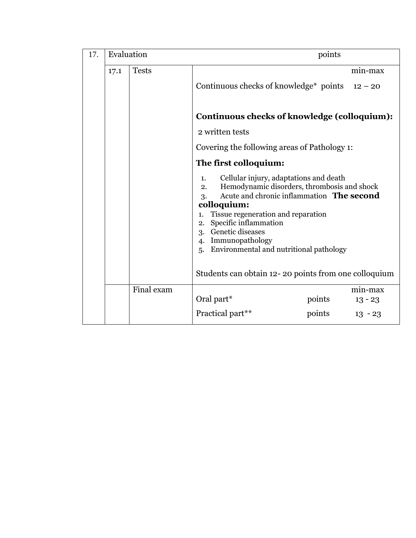| 17. | Evaluation |              | points                                                                                                                                                                                                                                                                                                                                          |  |                      |  |  |
|-----|------------|--------------|-------------------------------------------------------------------------------------------------------------------------------------------------------------------------------------------------------------------------------------------------------------------------------------------------------------------------------------------------|--|----------------------|--|--|
|     | 17.1       | <b>Tests</b> |                                                                                                                                                                                                                                                                                                                                                 |  | min-max              |  |  |
|     |            |              | Continuous checks of knowledge* points $12 - 20$                                                                                                                                                                                                                                                                                                |  |                      |  |  |
|     |            |              | Continuous checks of knowledge (colloquium):                                                                                                                                                                                                                                                                                                    |  |                      |  |  |
|     |            |              |                                                                                                                                                                                                                                                                                                                                                 |  |                      |  |  |
|     |            |              | Covering the following areas of Pathology 1:                                                                                                                                                                                                                                                                                                    |  |                      |  |  |
|     |            |              | The first colloquium:                                                                                                                                                                                                                                                                                                                           |  |                      |  |  |
|     |            |              | Cellular injury, adaptations and death<br>1.<br>Hemodynamic disorders, thrombosis and shock<br>2.<br>Acute and chronic inflammation The second<br>3.<br>colloquium:<br>Tissue regeneration and reparation<br>1.<br>Specific inflammation<br>2.<br>3. Genetic diseases<br>Immunopathology<br>4.<br>Environmental and nutritional pathology<br>5. |  |                      |  |  |
|     |            |              | Students can obtain 12-20 points from one colloquium                                                                                                                                                                                                                                                                                            |  |                      |  |  |
|     |            | Final exam   | Oral part*<br>points                                                                                                                                                                                                                                                                                                                            |  | min-max<br>$13 - 23$ |  |  |
|     |            |              | Practical part**<br>points                                                                                                                                                                                                                                                                                                                      |  | $13 - 23$            |  |  |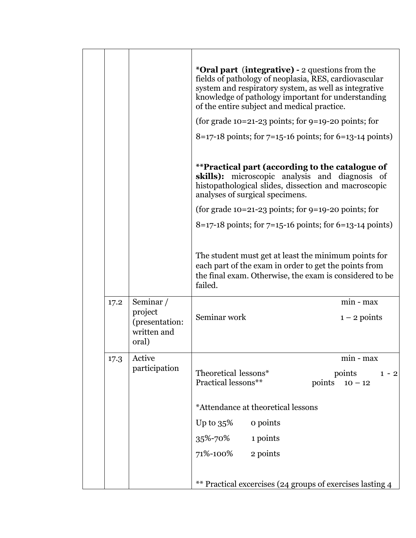|      |                                                   | *Oral part (integrative) - 2 questions from the<br>fields of pathology of neoplasia, RES, cardiovascular<br>system and respiratory system, as well as integrative<br>knowledge of pathology important for understanding<br>of the entire subject and medical practice. |
|------|---------------------------------------------------|------------------------------------------------------------------------------------------------------------------------------------------------------------------------------------------------------------------------------------------------------------------------|
|      |                                                   | (for grade $10=21-23$ points; for $9=19-20$ points; for                                                                                                                                                                                                                |
|      |                                                   | $8=17-18$ points; for $7=15-16$ points; for $6=13-14$ points)                                                                                                                                                                                                          |
|      |                                                   | **Practical part (according to the catalogue of<br>skills): microscopic analysis and diagnosis of<br>histopathological slides, dissection and macroscopic<br>analyses of surgical specimens.                                                                           |
|      |                                                   | (for grade $10=21-23$ points; for $9=19-20$ points; for                                                                                                                                                                                                                |
|      |                                                   | $8=17-18$ points; for $7=15-16$ points; for $6=13-14$ points)                                                                                                                                                                                                          |
|      |                                                   | The student must get at least the minimum points for<br>each part of the exam in order to get the points from<br>the final exam. Otherwise, the exam is considered to be<br>failed.                                                                                    |
| 17.2 | Seminar /                                         | $min - max$                                                                                                                                                                                                                                                            |
|      | project<br>(presentation:<br>written and<br>oral) | Seminar work<br>$1 - 2$ points                                                                                                                                                                                                                                         |
| 17.3 | Active                                            | $min - max$                                                                                                                                                                                                                                                            |
|      | participation                                     | Theoretical lessons*<br>points<br>$1 - 2$<br>Practical lessons**<br>points<br>$10 - 12$                                                                                                                                                                                |
|      |                                                   | *Attendance at theoretical lessons                                                                                                                                                                                                                                     |
|      |                                                   | Up to $35\%$<br>o points                                                                                                                                                                                                                                               |
|      |                                                   | 35%-70%<br>1 points                                                                                                                                                                                                                                                    |
|      |                                                   | 2 points<br>71%-100%                                                                                                                                                                                                                                                   |
|      |                                                   |                                                                                                                                                                                                                                                                        |
|      |                                                   | ** Practical excercises (24 groups of exercises lasting 4                                                                                                                                                                                                              |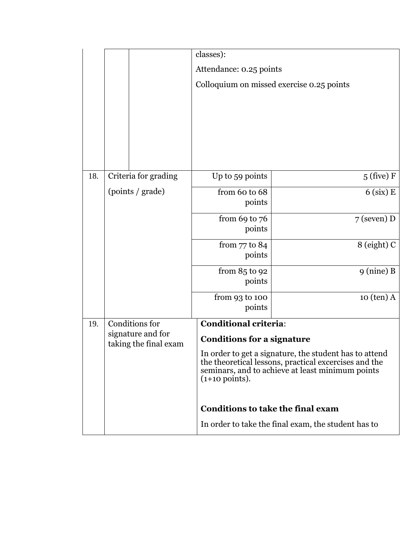|     |                                            | Attendance: 0.25 points                                                                                                                                                                         |                      |  |  |  |
|-----|--------------------------------------------|-------------------------------------------------------------------------------------------------------------------------------------------------------------------------------------------------|----------------------|--|--|--|
|     |                                            | Colloquium on missed exercise 0.25 points                                                                                                                                                       |                      |  |  |  |
|     |                                            |                                                                                                                                                                                                 |                      |  |  |  |
|     |                                            |                                                                                                                                                                                                 |                      |  |  |  |
|     |                                            |                                                                                                                                                                                                 |                      |  |  |  |
| 18. | Criteria for grading                       | Up to 59 points                                                                                                                                                                                 | $5$ (five) F         |  |  |  |
|     | (points / grade)                           | from 60 to 68<br>points                                                                                                                                                                         | $6$ (six) E          |  |  |  |
|     |                                            | from 69 to $76$<br>points                                                                                                                                                                       | $7$ (seven) D        |  |  |  |
|     |                                            | from $77$ to $84$<br>points                                                                                                                                                                     | $8$ (eight) C        |  |  |  |
|     |                                            | from 85 to 92<br>points                                                                                                                                                                         | $9 \text{ (nine)} B$ |  |  |  |
|     |                                            | from $93$ to $100$<br>points                                                                                                                                                                    | $10$ (ten) $A$       |  |  |  |
| 19. | Conditions for                             | <b>Conditional criteria:</b>                                                                                                                                                                    |                      |  |  |  |
|     | signature and for<br>taking the final exam | <b>Conditions for a signature</b>                                                                                                                                                               |                      |  |  |  |
|     |                                            | In order to get a signature, the student has to attend<br>the theoretical lessons, practical excercises and the<br>seminars, and to achieve at least minimum points<br>$(1+10 \text{ points}).$ |                      |  |  |  |
|     |                                            | <b>Conditions to take the final exam</b>                                                                                                                                                        |                      |  |  |  |
|     |                                            |                                                                                                                                                                                                 |                      |  |  |  |
|     |                                            | In order to take the final exam, the student has to                                                                                                                                             |                      |  |  |  |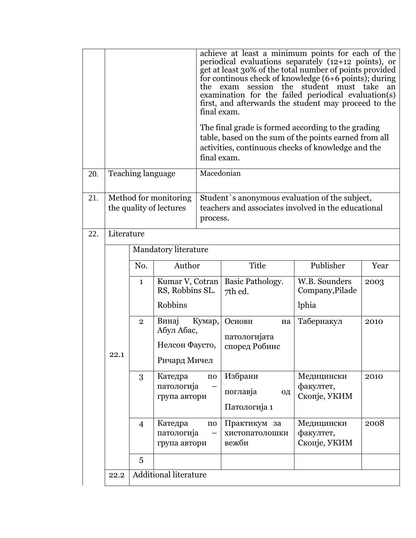|     |                                                  |                              |                                                       | achieve at least a minimum points for each of the<br>periodical evaluations separately (12+12 points), or<br>get at least 30% of the total number of points provided<br>for continous check of knowledge $(6+6$ points); during<br>session the student must take<br>the<br>exam<br>an<br>examination for the failed periodical evaluation(s)<br>first, and afterwards the student may proceed to the<br>final exam.<br>The final grade is formed according to the grading<br>table, based on the sum of the points earned from all<br>activities, continuous checks of knowledge and the<br>final exam. |                                               |                                         |      |
|-----|--------------------------------------------------|------------------------------|-------------------------------------------------------|---------------------------------------------------------------------------------------------------------------------------------------------------------------------------------------------------------------------------------------------------------------------------------------------------------------------------------------------------------------------------------------------------------------------------------------------------------------------------------------------------------------------------------------------------------------------------------------------------------|-----------------------------------------------|-----------------------------------------|------|
| 20. |                                                  | Teaching language            |                                                       | Macedonian                                                                                                                                                                                                                                                                                                                                                                                                                                                                                                                                                                                              |                                               |                                         |      |
| 21. | Method for monitoring<br>the quality of lectures |                              |                                                       | Student's anonymous evaluation of the subject,<br>teachers and associates involved in the educational<br>process.                                                                                                                                                                                                                                                                                                                                                                                                                                                                                       |                                               |                                         |      |
| 22. | Literature                                       |                              |                                                       |                                                                                                                                                                                                                                                                                                                                                                                                                                                                                                                                                                                                         |                                               |                                         |      |
|     |                                                  | <b>Mandatory literature</b>  |                                                       |                                                                                                                                                                                                                                                                                                                                                                                                                                                                                                                                                                                                         |                                               |                                         |      |
|     | 22.1                                             | No.                          | Author                                                |                                                                                                                                                                                                                                                                                                                                                                                                                                                                                                                                                                                                         | Title                                         | Publisher                               | Year |
|     |                                                  | $\mathbf{1}$                 | Kumar V, Cotran<br>RS, Robbins SL.                    |                                                                                                                                                                                                                                                                                                                                                                                                                                                                                                                                                                                                         | Basic Pathology.<br>7th ed.                   | W.B. Sounders<br>Company, Pilade        | 2003 |
|     |                                                  |                              | Robbins                                               |                                                                                                                                                                                                                                                                                                                                                                                                                                                                                                                                                                                                         |                                               | lphia                                   |      |
|     |                                                  | $\overline{2}$               | Винај<br>Абул Абас,<br>Нелсон Фаусто,<br>Ричард Мичел | Кумар,                                                                                                                                                                                                                                                                                                                                                                                                                                                                                                                                                                                                  | Основи<br>на<br>патологијата<br>според Робинс | Табернакул                              | 2010 |
|     |                                                  | 3                            | Катедра<br>патологија<br>група автори                 | $\Pi\mathbf{O}$                                                                                                                                                                                                                                                                                                                                                                                                                                                                                                                                                                                         | Избрани<br>поглавја<br>од<br>Патологија 1     | Медицински<br>факултет,<br>Скопје, УКИМ | 2010 |
|     |                                                  | $\overline{4}$               | Катедра<br>патологија<br>група автори                 | $\Pi{\bf 0}$                                                                                                                                                                                                                                                                                                                                                                                                                                                                                                                                                                                            | Практикум за<br>хистопатолошки<br>вежби       | Медицински<br>факултет,<br>Скопје, УКИМ | 2008 |
|     |                                                  | 5                            |                                                       |                                                                                                                                                                                                                                                                                                                                                                                                                                                                                                                                                                                                         |                                               |                                         |      |
|     | 22.2                                             | <b>Additional literature</b> |                                                       |                                                                                                                                                                                                                                                                                                                                                                                                                                                                                                                                                                                                         |                                               |                                         |      |